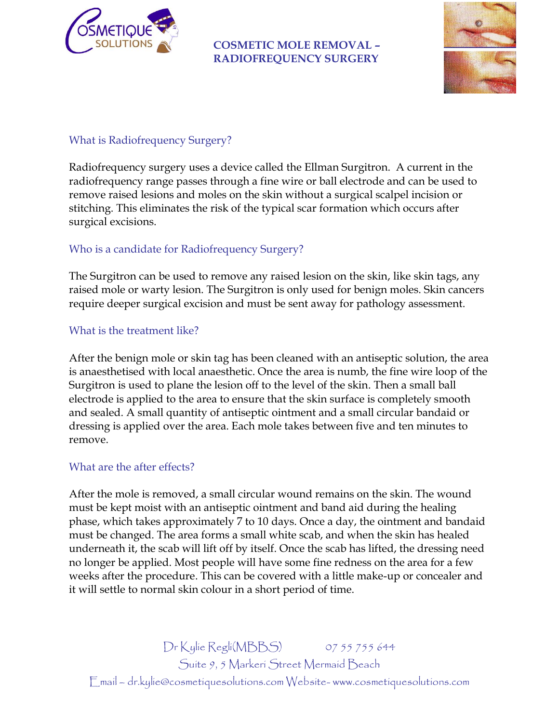

#### **COSMETIC MOLE REMOVAL – RADIOFREQUENCY SURGERY**



### What is Radiofrequency Surgery?

Radiofrequency surgery uses a device called the Ellman Surgitron. A current in the radiofrequency range passes through a fine wire or ball electrode and can be used to remove raised lesions and moles on the skin without a surgical scalpel incision or stitching. This eliminates the risk of the typical scar formation which occurs after surgical excisions.

## Who is a candidate for Radiofrequency Surgery?

The Surgitron can be used to remove any raised lesion on the skin, like skin tags, any raised mole or warty lesion. The Surgitron is only used for benign moles. Skin cancers require deeper surgical excision and must be sent away for pathology assessment.

#### What is the treatment like?

After the benign mole or skin tag has been cleaned with an antiseptic solution, the area is anaesthetised with local anaesthetic. Once the area is numb, the fine wire loop of the Surgitron is used to plane the lesion off to the level of the skin. Then a small ball electrode is applied to the area to ensure that the skin surface is completely smooth and sealed. A small quantity of antiseptic ointment and a small circular bandaid or dressing is applied over the area. Each mole takes between five and ten minutes to remove.

#### What are the after effects?

After the mole is removed, a small circular wound remains on the skin. The wound must be kept moist with an antiseptic ointment and band aid during the healing phase, which takes approximately 7 to 10 days. Once a day, the ointment and bandaid must be changed. The area forms a small white scab, and when the skin has healed underneath it, the scab will lift off by itself. Once the scab has lifted, the dressing need no longer be applied. Most people will have some fine redness on the area for a few weeks after the procedure. This can be covered with a little make-up or concealer and it will settle to normal skin colour in a short period of time.

Dr Kylie Regli(MBBS) 07 55 755 644 Suite 9, 5 Markeri Street Mermaid Beach Email – dr.kylie@cosmetiquesolutions.com Website- www.cosmetiquesolutions.com